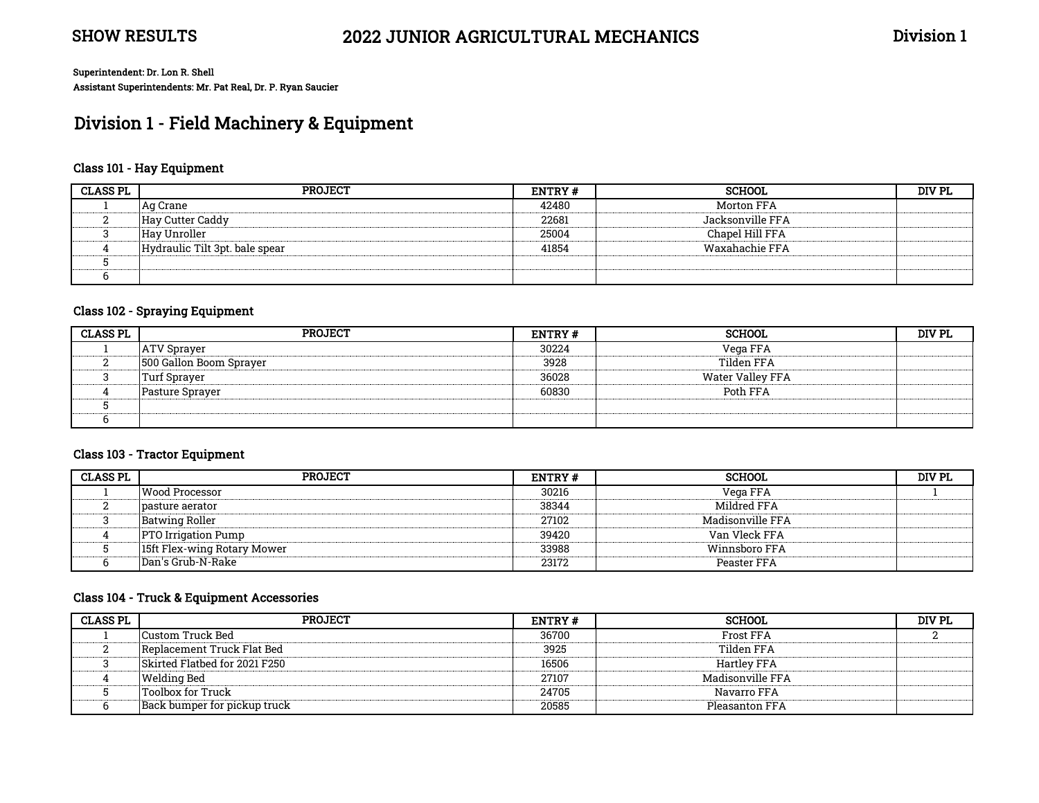# Division 1 - Field Machinery & Equipment

#### Class 101 - Hay Equipment

| <b>CLASS PL</b> | <b>PROJECT</b>                 | ENTRY# | <b>SCHOOL</b>    | DIV PL |
|-----------------|--------------------------------|--------|------------------|--------|
|                 | Ag Crane                       | 42480  | Morton FFA       |        |
|                 | Hay Cutter Caddy               | 22681  | Jacksonville FFA |        |
|                 | Hav Unroller                   | 25004  | Chapel Hill FFA  |        |
|                 | Hydraulic Tilt 3pt. bale spear | 41854  | Waxahachie FFA   |        |
|                 |                                |        |                  |        |
|                 |                                |        |                  |        |

### Class 102 - Spraying Equipment

| <b>CLASS PL</b> | <b>PROJECT</b>          | <b>ENTRY#</b> | <b>SCHOOL</b>    | DIV PL |
|-----------------|-------------------------|---------------|------------------|--------|
|                 | <b>ATV Sprayer</b>      | 30224         | Vega FFA         |        |
|                 | 500 Gallon Boom Sprayer | 3928          | Tilden FFA       |        |
|                 | Turf Spraver            | 36028         | Water Valley FFA |        |
|                 | Pasture Spraver         | 60830         | Poth FFA         |        |
|                 |                         |               |                  |        |
|                 |                         |               |                  |        |

#### Class 103 - Tractor Equipment

| <b>CLASS PL</b> | <b>PROJECT</b>              | <b>ENTRY#</b> | <b>SCHOOL</b>    | DIV PL |
|-----------------|-----------------------------|---------------|------------------|--------|
|                 | <b>Wood Processor</b>       | 30216         | Vega FFA         |        |
|                 | pasture aerator             | 38344         | Mildred FFA      |        |
|                 | Batwing Roller              | 27102         | Madisonville FFA |        |
|                 | <b>PTO Irrigation Pump</b>  | 39420         | Van Vleck FFA    |        |
|                 | 15ft Flex-wing Rotary Mower | 33988         | Winnsboro FFA    |        |
|                 | Dan's Grub-N-Rake           | 23172         | Peaster FFA      |        |

#### Class 104 - Truck & Equipment Accessories

| <b>CLASS PL</b> | <b>PROJECT</b>                | <b>ENTRY#</b> | <b>SCHOOL</b>      | DIV PL |
|-----------------|-------------------------------|---------------|--------------------|--------|
|                 | Custom Truck Bed              | 36700         | Frost FFA          |        |
|                 | Replacement Truck Flat Bed    | 3925          | Tilden FFA         |        |
|                 | Skirted Flatbed for 2021 F250 | 16506         | <b>Hartley FFA</b> |        |
|                 | Welding Bed                   | 27107         | Madisonville FFA   |        |
|                 | Toolbox for Truck             | 24705         | Navarro FFA        |        |
|                 | Back bumper for pickup truck  | 20585         | Pleasanton FFA     |        |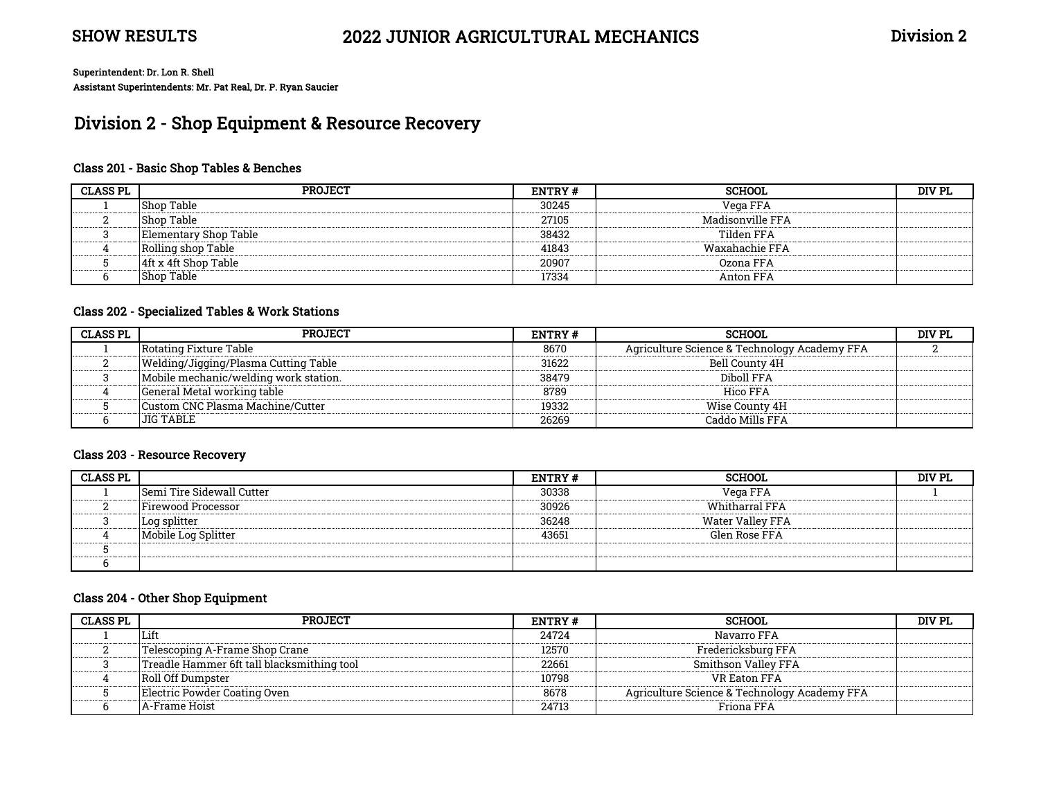# Division 2 - Shop Equipment & Resource Recovery

### Class 201 - Basic Shop Tables & Benches

| <b>CLASS PL</b> | <b>PROJECT</b>        | ENTRY# | <b>SCHOOL</b>    | DIV PL |
|-----------------|-----------------------|--------|------------------|--------|
|                 | Shop Table            | 30245  | Vega FFA         |        |
|                 | <b>Shop Table</b>     | 27105  | Madisonville FFA |        |
|                 | Elementary Shop Table | 38432  | Tilden FFA       |        |
|                 | Rolling shop Table    | 41843  | Waxahachie FFA   |        |
|                 | 4ft x 4ft Shop Table  | 20907  | Ozona FFA        |        |
|                 | Shop Table            | 17334  | Anton FFA        |        |

#### Class 202 - Specialized Tables & Work Stations

| <b>CLASS PL</b> | <b>PROJECT</b>                        | <b>ENTRY#</b> | SCHOOL                                       | DIV PL |
|-----------------|---------------------------------------|---------------|----------------------------------------------|--------|
|                 | Rotating Fixture Table                | 8670          | Agriculture Science & Technology Academy FFA |        |
|                 | Welding/Jigging/Plasma Cutting Table  | 31622         | Bell County 4H                               |        |
|                 | Mobile mechanic/welding work station. | 38479         | Diboll FFA                                   |        |
|                 | General Metal working table           | 8789          | Hico FFA                                     |        |
|                 | Custom CNC Plasma Machine/Cutter      | 19332         | Wise County 4H                               |        |
|                 | JIG TABLE                             | 26269         | Caddo Mills FFA                              |        |

#### Class 203 - Resource Recovery

| <b>CLASS PL</b> |                                  | <b>ENTRY#</b> | <b>SCHOOL</b>         | DIV PL |
|-----------------|----------------------------------|---------------|-----------------------|--------|
|                 | <b>Semi Tire Sidewall Cutter</b> | 30338         | Vega FFA              |        |
|                 | Firewood Processor               | 30926         | <b>Whitharral FFA</b> |        |
|                 | Log splitter                     | 36248         | Water Valley FFA      |        |
|                 | Mobile Log Splitter              | 43651         | Glen Rose FFA         |        |
|                 |                                  |               |                       |        |
|                 |                                  |               |                       |        |

#### Class 204 - Other Shop Equipment

| <b>CLASS PL</b> | <b>PROJECT</b>                             | ENTRY# | <b>SCHOOL</b>                                | DIV PL |
|-----------------|--------------------------------------------|--------|----------------------------------------------|--------|
|                 | Lift                                       | 24724  | Navarro FFA                                  |        |
|                 | Telescoping A-Frame Shop Crane             | 12570  | Fredericksburg FFA                           |        |
|                 | Treadle Hammer 6ft tall blacksmithing tool | 22661  | Smithson Valley FFA                          |        |
|                 | Roll Off Dumpster                          | 10798  | VR Eaton FFA                                 |        |
|                 | Electric Powder Coating Oven               | 8678   | Agriculture Science & Technology Academy FFA |        |
|                 | A-Frame Hoist                              | 24713  | Friona FFA                                   |        |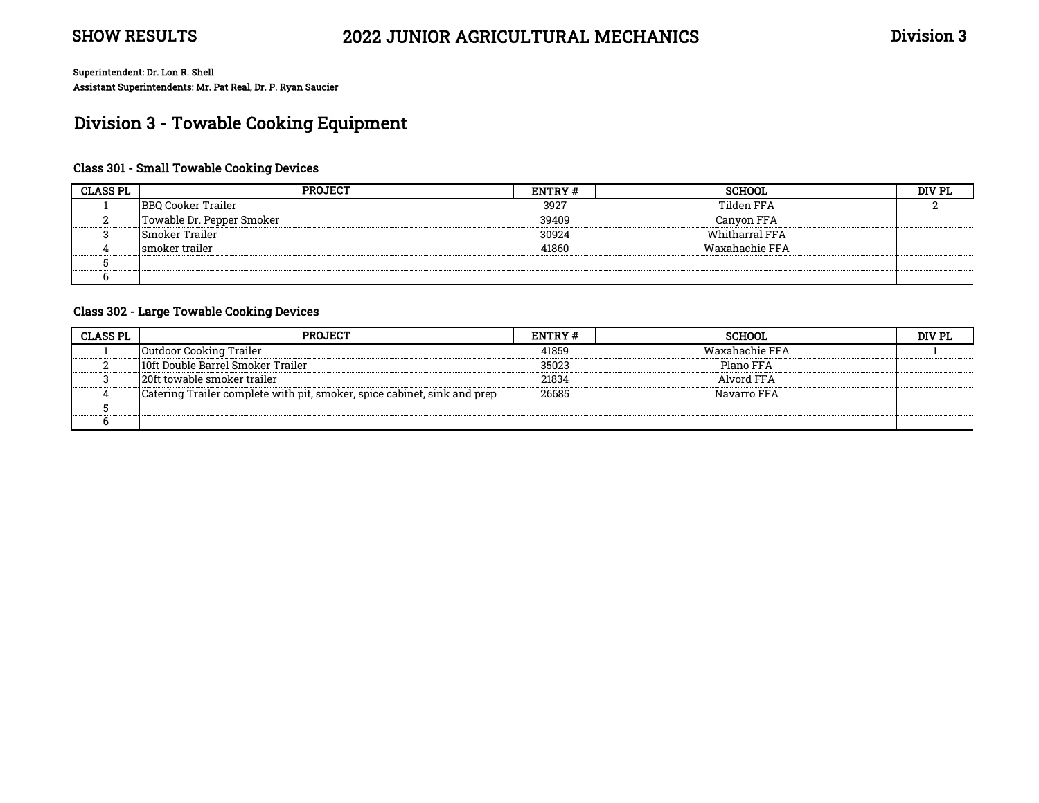# Division 3 - Towable Cooking Equipment

### Class 301 - Small Towable Cooking Devices

| <b>CLASS PL</b> | <b>PROJECT</b>            | ENTRY# | <b>SCHOOL</b>         | DIV PL |
|-----------------|---------------------------|--------|-----------------------|--------|
|                 | <b>BBQ Cooker Trailer</b> | 3927   | Tilden FFA            |        |
|                 | Towable Dr. Pepper Smoker | 39409  | Canyon FFA            |        |
|                 | Smoker Trailer            | 30924  | <b>Whitharral FFA</b> |        |
|                 | smoker trailer            | 41860  | Waxahachie FFA        |        |
|                 |                           |        |                       |        |
|                 |                           |        |                       |        |

#### Class 302 - Large Towable Cooking Devices

| <b>CLASS PL</b> | <b>PROJECT</b>                                                           | <b>ENTRY#</b> | <b>SCHOOL</b>  | DIV PL |
|-----------------|--------------------------------------------------------------------------|---------------|----------------|--------|
|                 | Outdoor Cooking Trailer                                                  | 41859         | Waxahachie FFA |        |
|                 | 10ft Double Barrel Smoker Trailer                                        | 35023         | Plano FFA      |        |
|                 | 20ft towable smoker trailer                                              | 21834         | Alvord FFA     |        |
|                 | Catering Trailer complete with pit, smoker, spice cabinet, sink and prep | 26685         | Navarro FFA    |        |
|                 |                                                                          |               |                |        |
|                 |                                                                          |               |                |        |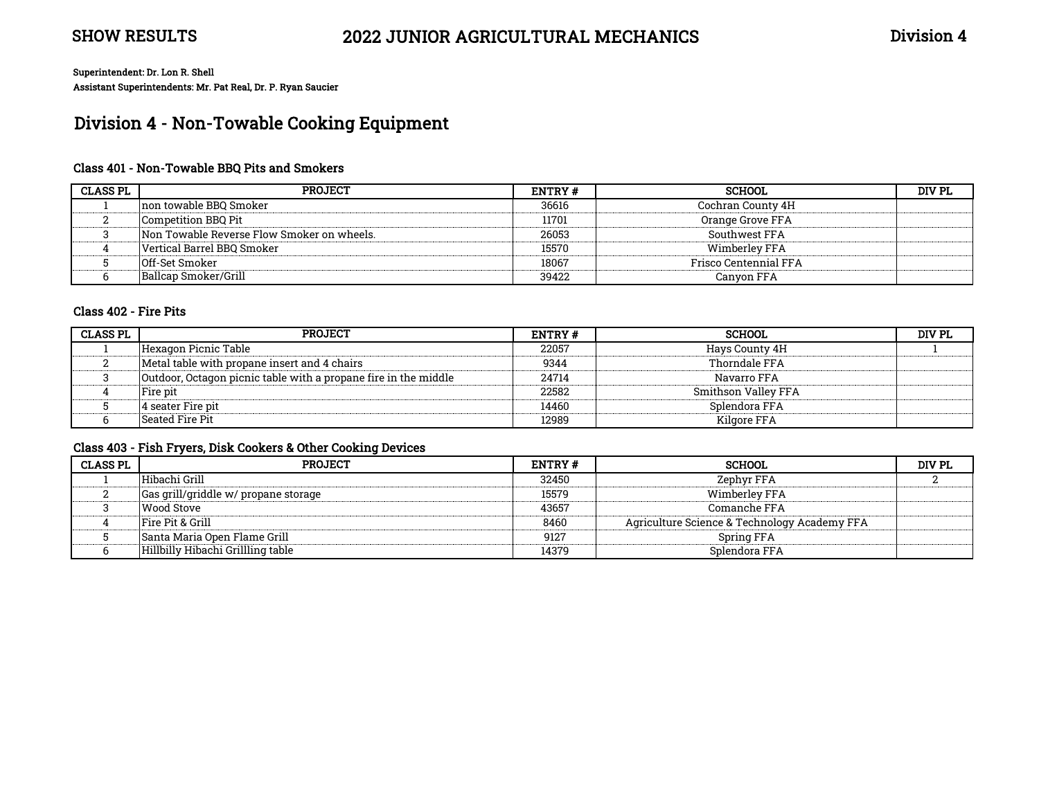# Division 4 - Non-Towable Cooking Equipment

### Class 401 - Non-Towable BBQ Pits and Smokers

| <b>CLASS PL</b> | <b>PROJECT</b>                             | ENTRY # | <b>SCHOOL</b>         | DIV PL |
|-----------------|--------------------------------------------|---------|-----------------------|--------|
|                 | Inon towable BBO Smoker                    | 36616   | Cochran County 4H     |        |
|                 | Competition BBQ Pit                        | 11701   | Orange Grove FFA      |        |
|                 | Non Towable Reverse Flow Smoker on wheels. | 26053   | Southwest FFA         |        |
|                 | Vertical Barrel BBQ Smoker                 | 15570   | Wimberley FFA         |        |
|                 | <b>Off-Set Smoker</b>                      | 18067   | Frisco Centennial FFA |        |
|                 | Ballcap Smoker/Grill                       | 39422   | Canvon FFA            |        |

#### Class 402 - Fire Pits

| <b>CLASS PL</b> | <b>PROJECT</b>                                                  | <b>ENTRY#</b> | SCHOOL              | DIV PL |
|-----------------|-----------------------------------------------------------------|---------------|---------------------|--------|
|                 | Hexagon Picnic Table                                            | 22057         | Havs County 4H      |        |
|                 | Metal table with propane insert and 4 chairs                    | 9344          | Thorndale FFA       |        |
|                 | Outdoor, Octagon picnic table with a propane fire in the middle | 24714         | Navarro FFA         |        |
|                 | Fire pit                                                        | 22582         | Smithson Valley FFA |        |
|                 | 4 seater Fire pit                                               | 14460         | Splendora FFA       |        |
|                 | Seated Fire Pit                                                 | 12989         | Kilgore FFA         |        |

#### Class 403 - Fish Fryers, Disk Cookers & Other Cooking Devices

| <b>CLASS PL</b> | <b>PROJECT</b>                       | ENTRY # | <b>SCHOOL</b>                                | DIV PL |
|-----------------|--------------------------------------|---------|----------------------------------------------|--------|
|                 | Hibachi Grill                        | 32450   | Zephyr FFA                                   |        |
|                 | Gas grill/griddle w/ propane storage | 15579   | Wimberley FFA                                |        |
|                 | Wood Stove                           | 43657   | Comanche FFA                                 |        |
|                 | <b>Fire Pit &amp; Grill</b>          | 8460    | Agriculture Science & Technology Academy FFA |        |
|                 | ISanta Maria Open Flame Grill        | 9127    | Spring FFA                                   |        |
|                 | Hillbilly Hibachi Grillling table    | 14379   | Splendora FFA                                |        |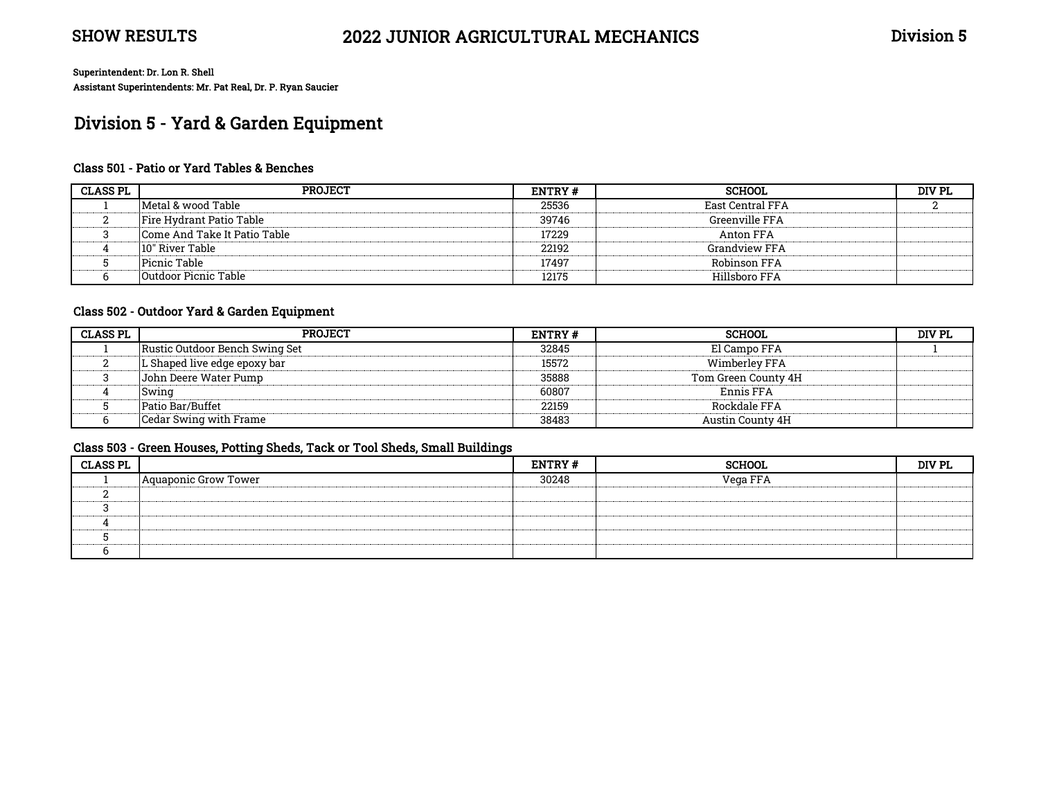# Division 5 - Yard & Garden Equipment

#### Class 501 - Patio or Yard Tables & Benches

| <b>CLASS PL</b> | <b>PROJECT</b>               | <b>ENTRY#</b> | <b>SCHOOL</b>        | DIV PL |
|-----------------|------------------------------|---------------|----------------------|--------|
|                 | Metal & wood Table           | 25536         | East Central FFA     |        |
|                 | Fire Hydrant Patio Table     | 39746         | Greenville FFA       |        |
|                 | Come And Take It Patio Table | 17229         | Anton FFA            |        |
|                 | 10" River Table              | 22192         | <b>Grandview FFA</b> |        |
|                 | Picnic Table                 | 17497         | Robinson FFA         |        |
|                 | Outdoor Picnic Table         | 12175         | Hillshoro FFA        |        |

#### Class 502 - Outdoor Yard & Garden Equipment

| <b>CLASS PL</b> | <b>PROJECT</b>                 | <b>ENTRY#</b> | SCHOOL                  | DIV PL |
|-----------------|--------------------------------|---------------|-------------------------|--------|
|                 | Rustic Outdoor Bench Swing Set | 32845         | El Campo FFA            |        |
|                 | L Shaped live edge epoxy bar   | 15572         | Wimberley FFA           |        |
|                 | John Deere Water Pump          | 35888         | Tom Green County 4H     |        |
|                 | Swina                          | 60807         | Ennis FFA               |        |
|                 | Patio Bar/Buffet               | 22159         | Rockdale FFA            |        |
|                 | Cedar Swing with Frame         | 38483         | <b>Austin County 4H</b> |        |

#### Class 503 - Green Houses, Potting Sheds, Tack or Tool Sheds, Small Buildings

| <b>CLASS PL</b> |                      | ENTRY# | <b>SCHOOL</b> | DIV PL |
|-----------------|----------------------|--------|---------------|--------|
|                 | Aquaponic Grow Tower | 30248  | Vega FFA<br>  |        |
|                 |                      |        |               |        |
|                 |                      |        |               |        |
|                 |                      |        |               |        |
|                 |                      |        |               |        |
|                 |                      |        |               |        |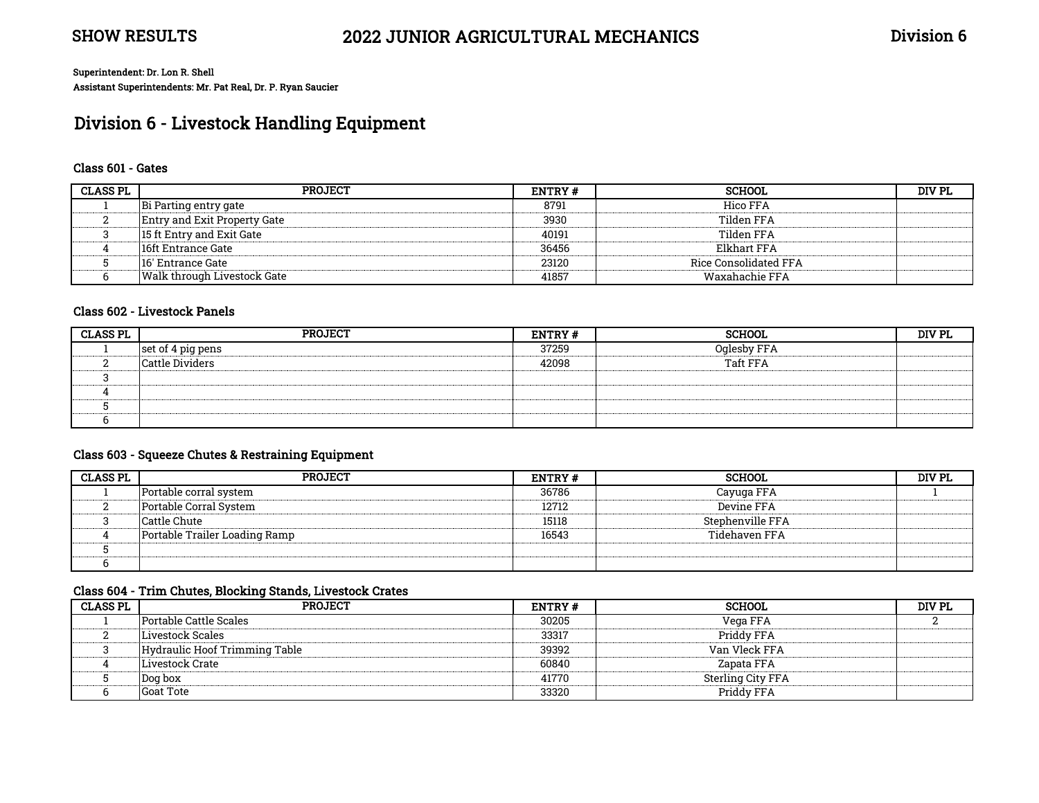# Division 6 - Livestock Handling Equipment

#### Class 601 - Gates

| <b>CLASS PL</b> | <b>PROJECT</b>                      | ENTRY # | <b>SCHOOL</b>         | DIV PL |
|-----------------|-------------------------------------|---------|-----------------------|--------|
|                 | Bi Parting entry gate               | 8791    | Hico FFA              |        |
|                 | <b>Entry and Exit Property Gate</b> | 3930    | Tilden FFA            |        |
|                 | 15 ft Entry and Exit Gate           | 40191   | Tilden FFA            |        |
|                 | 16ft Entrance Gate                  | 36456   | Elkhart FFA           |        |
|                 | 116' Entrance Gate                  | 23120   | Rice Consolidated FFA |        |
|                 | Walk through Livestock Gate         | 41857   | Waxahachie FFA        |        |

#### Class 602 - Livestock Panels

| <b>CLASS PL</b>   | PROJECT           | <b>ENTRY#</b> | <b>SCHOOL</b> | DIV PL |
|-------------------|-------------------|---------------|---------------|--------|
| ----------------- | set of 4 pig pens | 37259         | Oglesby FFA   |        |
|                   | Cattle Dividers   | 42098         | Taft FFA      |        |
|                   |                   |               |               |        |
|                   |                   |               |               |        |
|                   |                   |               |               |        |
|                   |                   |               |               |        |

#### Class 603 - Squeeze Chutes & Restraining Equipment

| <b>CLASS PL</b> | <b>PROJECT</b>                | <b>ENTRY#</b> | SCHOOL.          | DIV PL |
|-----------------|-------------------------------|---------------|------------------|--------|
|                 | Portable corral system        | 36786         | Cayuga FFA       |        |
|                 | Portable Corral System        | 12712         | Devine FFA       |        |
|                 | Cattle Chute                  | 15118         | Stephenville FFA |        |
|                 | Portable Trailer Loading Ramp | 16543         | Tidehaven FFA    |        |
|                 |                               |               |                  |        |
|                 |                               |               |                  |        |

### Class 604 - Trim Chutes, Blocking Stands, Livestock Crates

| <b>CLASS PL</b> | PROJECT                       | <b>ENTRY#</b> | <b>SCHOOL</b>     | DIV PL |
|-----------------|-------------------------------|---------------|-------------------|--------|
|                 | Portable Cattle Scales        | 30205         | Vega FFA          |        |
|                 | Livestock Scales              | 33317         | Priddy FFA        |        |
|                 | Hydraulic Hoof Trimming Table | 39392         | Van Vleck FFA     |        |
|                 | Livestock Crate               | 60840         | Zapata FFA        |        |
|                 | Dog box                       | 41770         | Sterling City FFA |        |
|                 | <b>Goat Tote</b>              | 33320         | Priddy FFA        |        |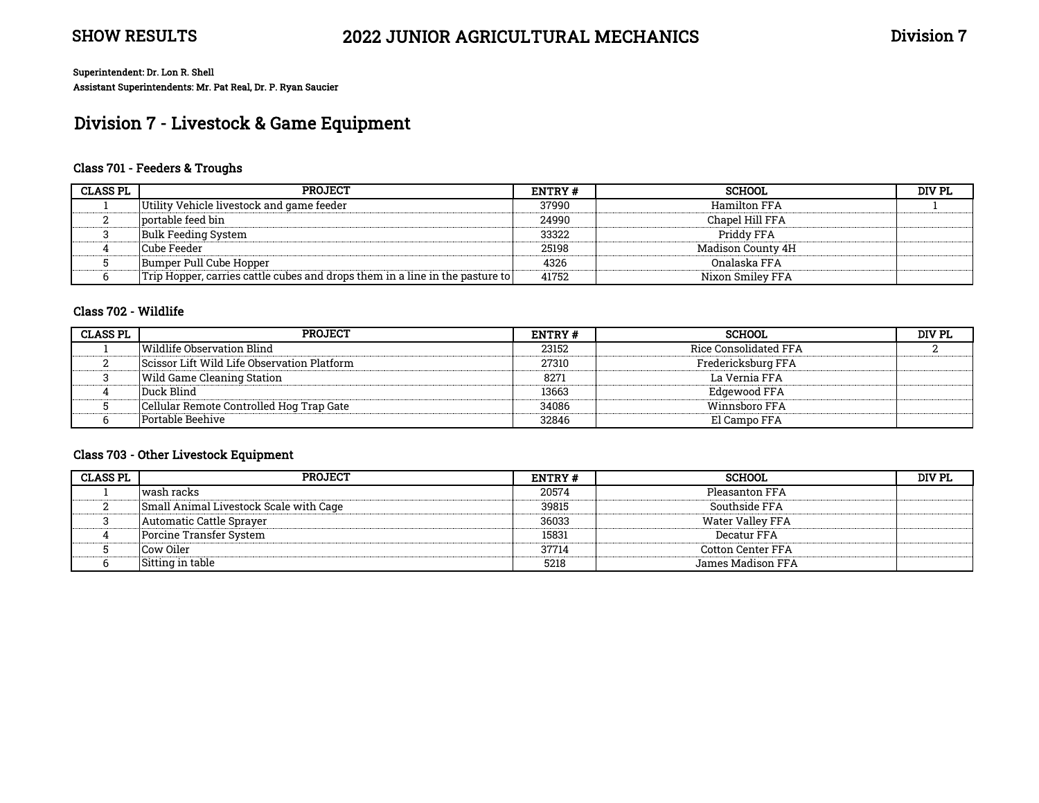# Division 7 - Livestock & Game Equipment

### Class 701 - Feeders & Troughs

| <b>CLASS PL</b> | <b>PROJECT</b>                                                               | ENTRY # | <b>SCHOOL</b>     | DIV PL |
|-----------------|------------------------------------------------------------------------------|---------|-------------------|--------|
|                 | Utility Vehicle livestock and game feeder                                    | 37990   | Hamilton FFA      |        |
|                 | portable feed bin                                                            | 24990   | Chapel Hill FFA   |        |
|                 | Bulk Feeding System                                                          | 33322   | Priddy FFA        |        |
|                 | Cube Feeder                                                                  | 25198   | Madison County 4H |        |
|                 | Bumper Pull Cube Hopper                                                      | 4326    | Onalaska FFA      |        |
|                 | Trip Hopper, carries cattle cubes and drops them in a line in the pasture to | 41752   | Nixon Smiley FFA  |        |

#### Class 702 - Wildlife

| <b>CLASS PL</b> | <b>PROJECT</b>                              | ENTRY# | <b>SCHOOL</b>         | DIV PL |
|-----------------|---------------------------------------------|--------|-----------------------|--------|
|                 | Wildlife Observation Blind                  | 23152  | Rice Consolidated FFA |        |
|                 | Scissor Lift Wild Life Observation Platform | 27310  | Fredericksburg FFA    |        |
|                 | lWild Game Cleaning Station .               | 8271   | La Vernia FFA         |        |
|                 | Duck Blind                                  | 13663  | Edgewood FFA          |        |
|                 | Cellular Remote Controlled Hog Trap Gate    | 34086  | Winnsboro FFA         |        |
|                 | Portable Beehive                            | 32846  | El Campo FFA          |        |

### Class 703 - Other Livestock Equipment

| <b>CLASS PL</b> | <b>PROJECT</b>                         | <b>ENTRY#</b> | <b>SCHOOL</b>            | DIV PL |
|-----------------|----------------------------------------|---------------|--------------------------|--------|
|                 | wash racks                             | 20574         | Pleasanton FFA           |        |
|                 | Small Animal Livestock Scale with Cage | 39815         | Southside FFA            |        |
|                 | Automatic Cattle Spraver               | 36033         | Water Valley FFA         |        |
|                 | Porcine Transfer System                | 15831         | Decatur FFA              |        |
|                 | Cow Oiler                              | 37714         | <b>Cotton Center FFA</b> |        |
|                 | Sitting in table                       | 5218          | James Madison FFA        |        |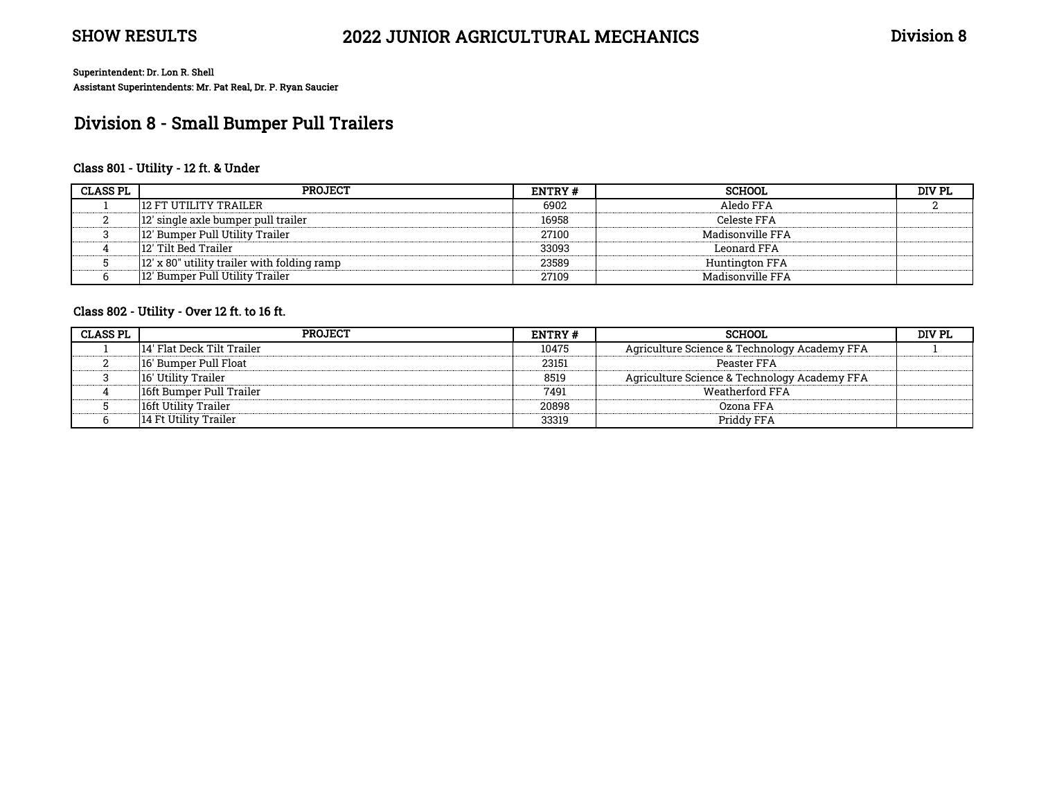# Division 8 - Small Bumper Pull Trailers

### Class 801 - Utility - 12 ft. & Under

| <b>CLASS PL</b> | <b>PROJECT</b>                              | ENTRY # | <b>SCHOOL</b>    | DIV PL |
|-----------------|---------------------------------------------|---------|------------------|--------|
|                 | 12 FT UTILITY TRAILER                       | 6902    | Aledo FFA        |        |
|                 | 12' single axle bumper pull trailer         | 16958   | Celeste FFA      |        |
|                 | 12' Bumper Pull Utility Trailer             | 27100   | Madisonville FFA |        |
|                 | 12′ Tilt Bed Trailer                        | 33093   | Leonard FFA      |        |
|                 | 12' x 80" utility trailer with folding ramp | 23589   | Huntington FFA   |        |
|                 | 12' Bumper Pull Utility Trailer             | 27109   | Madisonville FFA |        |

### Class 802 - Utility - Over 12 ft. to 16 ft.

| <b>CLASS PL</b> | <b>PROJECT</b>             | ENTRY# | <b>SCHOOL</b>                                | DIV PL |
|-----------------|----------------------------|--------|----------------------------------------------|--------|
|                 | 14' Flat Deck Tilt Trailer | 10475  | Agriculture Science & Technology Academy FFA |        |
|                 | 116' Bumper Pull Float     | 23151  | Peaster FFA                                  |        |
|                 | 16′ Utility Trailer        | 8519   | Agriculture Science & Technology Academy FFA |        |
|                 | 16ft Bumper Pull Trailer   | 7491   | Weatherford FFA                              |        |
|                 | 16ft Utility Trailer       | 20898  | Ozona FFA                                    |        |
|                 | 14 Ft Utility Trailer      | 33319  | Priddy FFA                                   |        |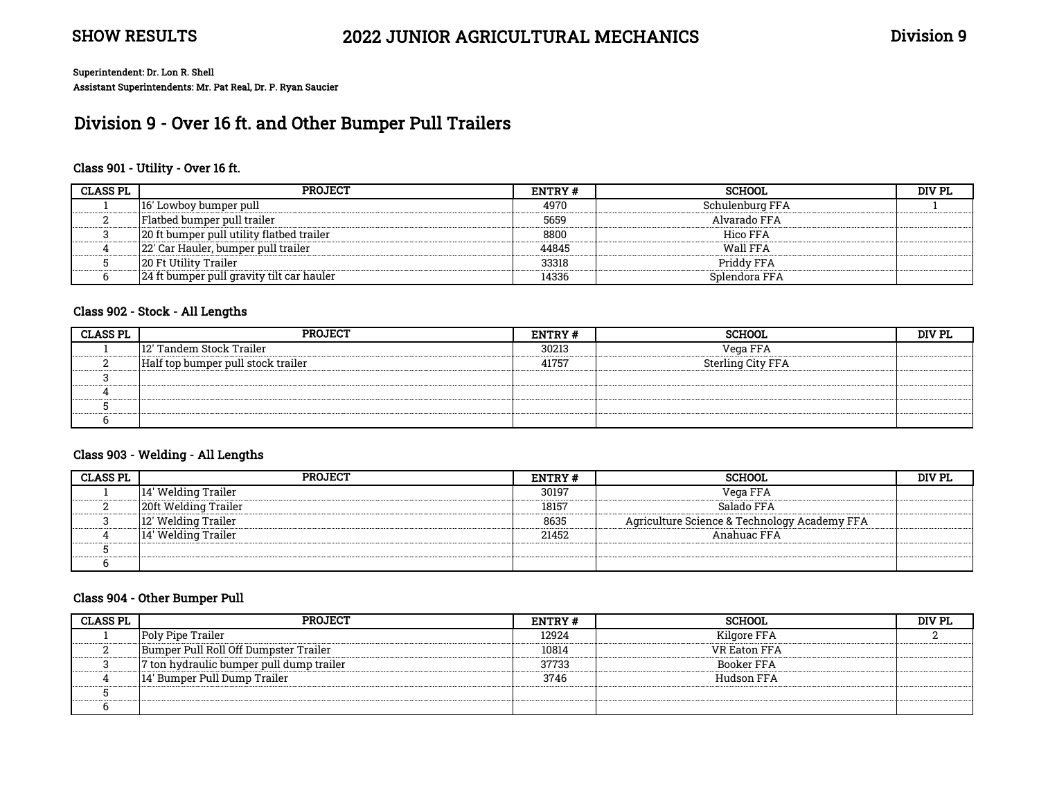# Division 9 - Over 16 ft. and Other Bumper Pull Trailers

#### Class 901 - Utility - Over 16 ft.

| <b>CLASS PL</b> | <b>PROJECT</b>                             | <b>ENTRY#</b> | SCHOOL          | DIV PL |
|-----------------|--------------------------------------------|---------------|-----------------|--------|
|                 | 116' Lowboy bumper pull                    | 4970          | Schulenburg FFA |        |
|                 | Flatbed bumper pull trailer                | 5659          | Alvarado FFA    |        |
|                 | 20 ft bumper pull utility flatbed trailer  | 8800          | Hico FFA        |        |
|                 | 22' Car Hauler, bumper pull trailer        | 44845         | Wall FFA        |        |
|                 | <b>20 Ft Utility Trailer</b>               | 33318         | Priddy FFA      |        |
|                 | 124 ft bumper pull gravity tilt car hauler | 14336         | Splendora FFA   |        |

## Class 902 - Stock - All Lengths

| <b>CLASS PL</b> | <b>PROJECT</b>                     | <b>ENTRY#</b> | <b>SCHOOL</b>     | DIV PL |
|-----------------|------------------------------------|---------------|-------------------|--------|
|                 | 12' Tandem Stock Trailer           | 30213         | Vega FFA          |        |
|                 | Half top bumper pull stock trailer | 41757         | Sterling City FFA |        |
|                 |                                    |               |                   |        |
|                 |                                    |               |                   |        |
|                 |                                    |               |                   |        |
|                 |                                    |               |                   |        |

#### Class 903 - Welding - All Lengths

| <b>CLASS PL</b> | <b>PROJECT</b>       | <b>ENTRY #</b> | <b>SCHOOL</b>                                | DIV PL |
|-----------------|----------------------|----------------|----------------------------------------------|--------|
|                 | 14′ Welding Trailer  | 30197          | Vega FFA                                     |        |
|                 | 20ft Welding Trailer | 18157          | Salado FFA                                   |        |
|                 | 12' Welding Trailer  | 8635           | Agriculture Science & Technology Academy FFA |        |
|                 | 14′ Welding Trailer  | 21452          | Anahuac FFA                                  |        |
|                 |                      |                |                                              |        |
|                 |                      |                |                                              |        |

#### Class 904 - Other Bumper Pull

| <b>CLASS PL</b> | <b>PROJECT</b>                           | <b>ENTRY#</b> | <b>SCHOOL</b> | DIV PL |
|-----------------|------------------------------------------|---------------|---------------|--------|
|                 | Poly Pipe Trailer                        | 12924         | Kilgore FFA   |        |
|                 | Bumper Pull Roll Off Dumpster Trailer    | 10814         | VR Eaton FFA  |        |
|                 | 7 ton hydraulic bumper pull dump trailer | 37733         | Booker FFA    |        |
|                 | 14' Bumper Pull Dump Trailer             | 3746          | Hudson FFA    |        |
|                 |                                          |               |               |        |
|                 |                                          |               |               |        |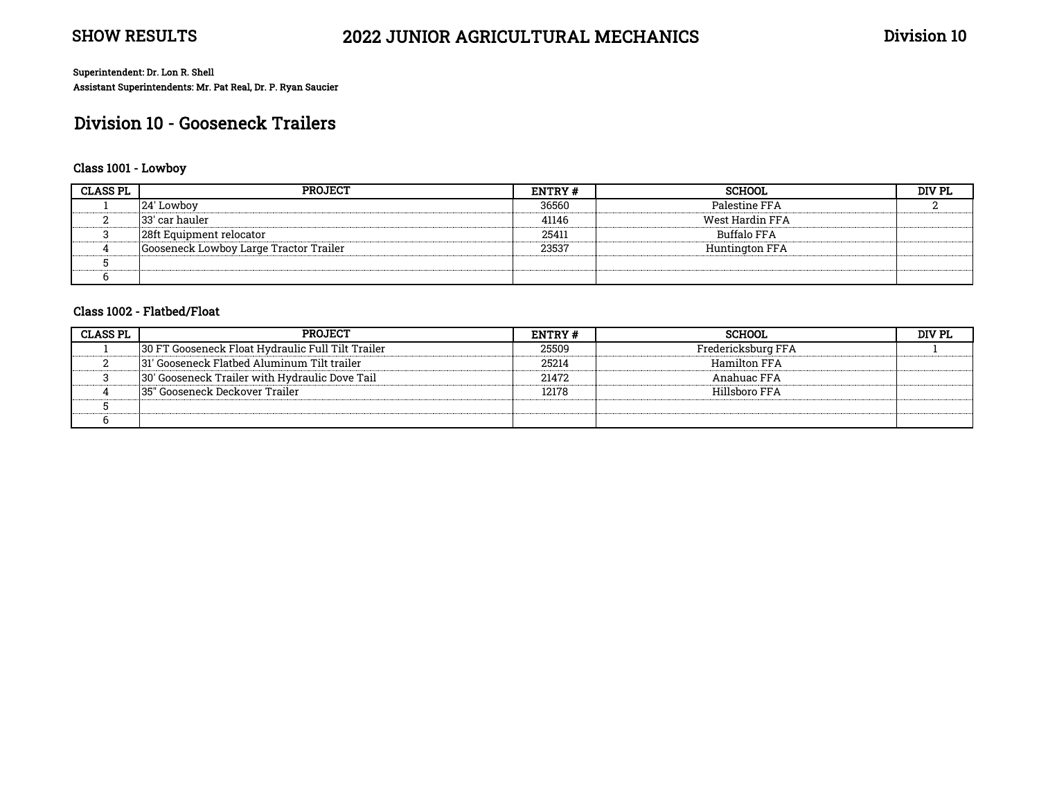# Division 10 - Gooseneck Trailers

### Class 1001 - Lowboy

| <b>CLASS PL</b> | <b>PROJECT</b>                         | <b>ENTRY#</b> | <b>SCHOOL</b>      | DIV PL |
|-----------------|----------------------------------------|---------------|--------------------|--------|
|                 | 24' Lowboy                             | 36560         | Palestine FFA      |        |
|                 | 133' car hauler                        | 41146         | West Hardin FFA    |        |
|                 | 28ft Equipment relocator               | 25411         | <b>Buffalo FFA</b> |        |
|                 | Gooseneck Lowboy Large Tractor Trailer | 23537         | Huntington FFA     |        |
|                 |                                        |               |                    |        |
|                 |                                        |               |                    |        |

#### Class 1002 - Flatbed/Float

| <b>CLASS PL</b> | <b>PROJECT</b>                                     | <b>ENTRY#</b> | <b>SCHOOL</b>      | וס עזמ. |
|-----------------|----------------------------------------------------|---------------|--------------------|---------|
|                 | 130 FT Gooseneck Float Hydraulic Full Tilt Trailer | 25509         | Fredericksburg FFA |         |
|                 | 131' Gooseneck Flatbed Aluminum Tilt trailer       | 25214         | Hamilton FFA       |         |
|                 | 30' Gooseneck Trailer with Hydraulic Dove Tail     | 21472         | Anahuac FFA        |         |
|                 | 135" Gooseneck Deckover Trailer                    | 12178         | Hillsboro FFA      |         |
|                 |                                                    |               |                    |         |
|                 |                                                    |               |                    |         |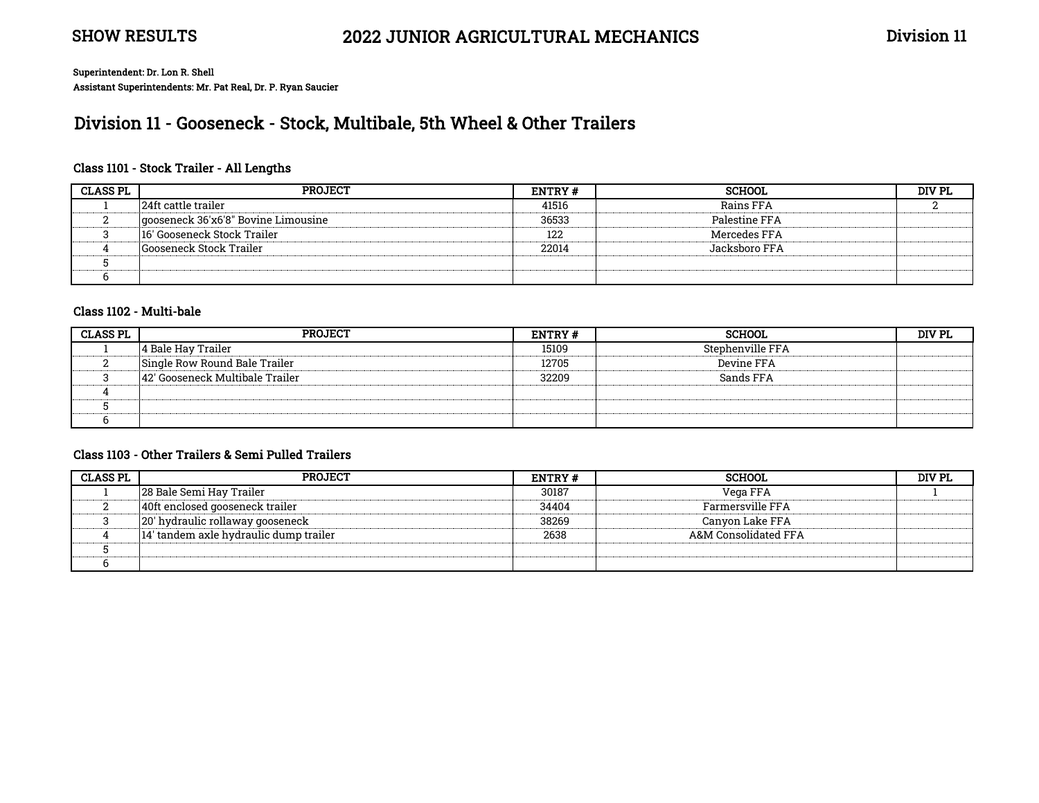# Division 11 - Gooseneck - Stock, Multibale, 5th Wheel & Other Trailers

### Class 1101 - Stock Trailer - All Lengths

| <b>CLASS PL</b> | PROJECT                             | <b>ENTRY#</b> | <b>SCHOOL</b>    | DIV PL |
|-----------------|-------------------------------------|---------------|------------------|--------|
|                 | 24ft cattle trailer                 | 41516         | <b>Rains FFA</b> |        |
|                 | gooseneck 36'x6'8" Bovine Limousine | 36533         | Palestine FFA    |        |
|                 | 16' Gooseneck Stock Trailer         | 122           | Mercedes FFA     |        |
|                 | <b>Gooseneck Stock Trailer</b>      | 22014         | Jacksboro FFA.   |        |
|                 |                                     |               |                  |        |
|                 |                                     |               |                  |        |

#### Class 1102 - Multi-bale

| <b>CLASS PL</b> | PROJECT                         | <b>ENTRY#</b> | <b>SCHOOL</b>    | DIV PL |
|-----------------|---------------------------------|---------------|------------------|--------|
|                 | 4 Bale Hav Trailer              | 15109         | Stephenville FFA |        |
|                 | Single Row Round Bale Trailer   | 12705         | Devine FFA       |        |
|                 | 42' Gooseneck Multibale Trailer | 32209         | Sands FFA        |        |
|                 |                                 |               |                  |        |
|                 |                                 |               |                  |        |
|                 |                                 |               |                  |        |

### Class 1103 - Other Trailers & Semi Pulled Trailers

| <b>CLASS PL</b> | <b>PROJECT</b>                         | ENTRY# | <b>SCHOOL</b>        | DIV PL |
|-----------------|----------------------------------------|--------|----------------------|--------|
|                 | 28 Bale Semi Hay Trailer               | 30187  | Vega FFA             |        |
|                 | 40ft enclosed gooseneck trailer        | 34404  | Farmersville FFA     |        |
|                 | 20' hydraulic rollaway gooseneck       | 38269  | Canyon Lake FFA      |        |
|                 | 14' tandem axle hydraulic dump trailer | 2638   | A&M Consolidated FFA |        |
|                 |                                        |        |                      |        |
|                 |                                        |        |                      |        |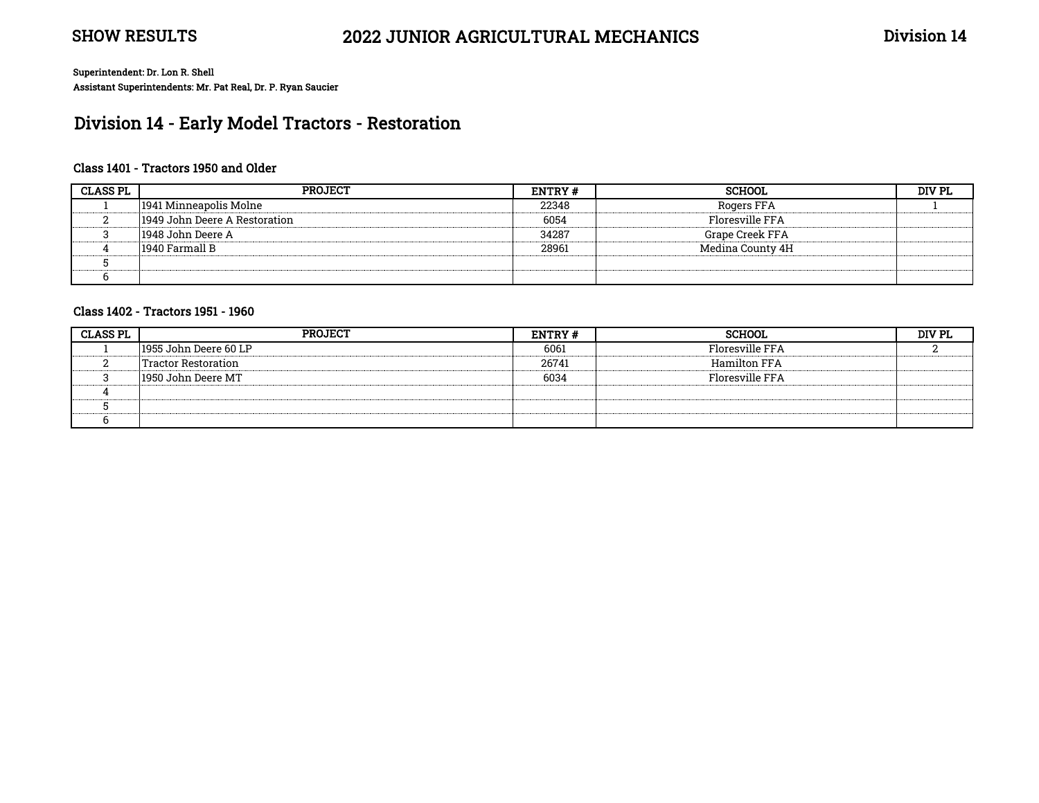# Division 14 - Early Model Tractors - Restoration

### Class 1401 - Tractors 1950 and Older

| <b>CLASS PL</b> | <b>PROJECT</b>                | ENTRY# | <b>SCHOOL</b>    | DIV PL |
|-----------------|-------------------------------|--------|------------------|--------|
|                 | 1941 Minneapolis Molne        | 22348  | Rogers FFA       |        |
|                 | 1949 John Deere A Restoration | 6054   | Floresville FFA  |        |
|                 | 1948 John Deere A             | 34287  | Grape Creek FFA  |        |
|                 | 1940 Farmall B                | 28961  | Medina County 4H |        |
|                 |                               |        |                  |        |
|                 |                               |        |                  |        |

#### Class 1402 - Tractors 1951 - 1960

| <b>CLASS PL</b> | <b>PROJECT</b>        | ENTRY# | <b>SCHOOL</b>   | DIV PL |
|-----------------|-----------------------|--------|-----------------|--------|
|                 | 1955 John Deere 60 LP | 6061   | Floresville FFA |        |
|                 | Tractor Restoration   | 26741  | Hamilton FFA    |        |
|                 | 1950 John Deere MT    | 6034   | Floresville FFA |        |
|                 |                       |        |                 |        |
|                 |                       |        |                 |        |
|                 |                       |        |                 |        |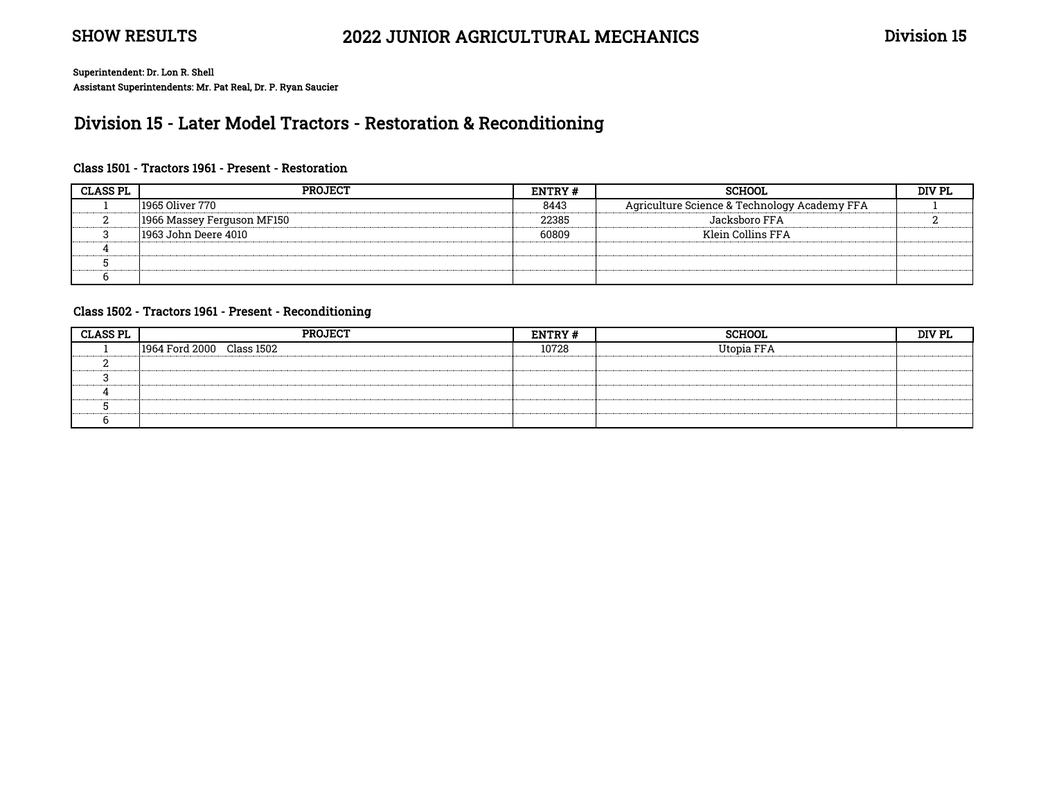# Division 15 - Later Model Tractors - Restoration & Reconditioning

### Class 1501 - Tractors 1961 - Present - Restoration

| <b>CLASS PL</b> | PROJECT                    | ENTRY # | <b>SCHOOL</b>                                | <b>DIV PL</b> |
|-----------------|----------------------------|---------|----------------------------------------------|---------------|
|                 | 1965 Oliver 770            | 8443    | Agriculture Science & Technology Academy FFA |               |
|                 | 1966 Massey Ferguson MF150 | 22385   | Jacksboro FFA                                |               |
|                 | 1963 John Deere 4010       | 60809   | Klein Collins FFA                            |               |
|                 |                            |         |                                              |               |
|                 |                            |         |                                              |               |
|                 |                            |         |                                              |               |

#### Class 1502 - Tractors 1961 - Present - Reconditioning

| <b>CLASS PL</b> | <b>PROJECT</b>            | <b>ENTRY#</b> | <b>SCHOOL</b> | DIV PL |
|-----------------|---------------------------|---------------|---------------|--------|
|                 | 1964 Ford 2000 Class 1502 | 10728         | Utopia FFA    |        |
|                 |                           |               |               |        |
|                 |                           |               |               |        |
|                 |                           |               |               |        |
|                 |                           |               |               |        |
|                 |                           |               |               |        |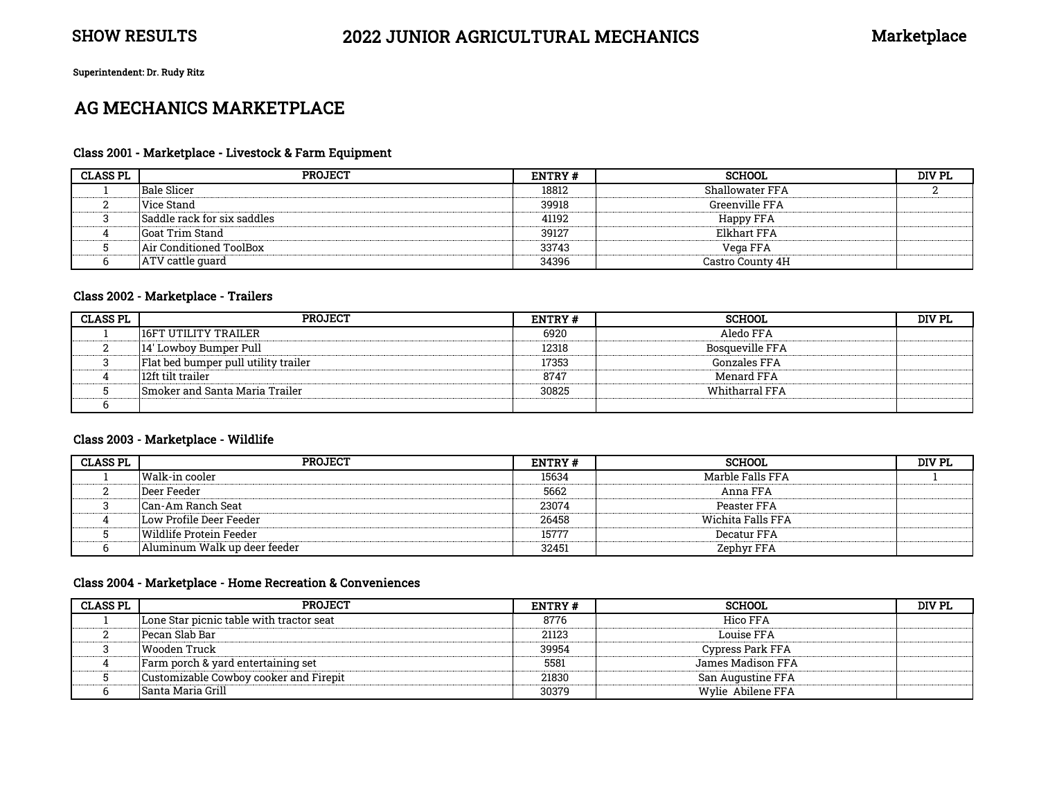Superintendent: Dr. Rudy Ritz

# AG MECHANICS MARKETPLACE

#### Class 2001 - Marketplace - Livestock & Farm Equipment

| <b>CLASS PL</b> | <b>PROJECT</b>                | ENTRY# | <b>SCHOOL</b>      | DIV PL |
|-----------------|-------------------------------|--------|--------------------|--------|
|                 | <b>Bale Slicer</b>            | 18812  | Shallowater FFA    |        |
|                 | Vice Stand                    | 39918  | Greenville FFA     |        |
|                 | lSaddle rack for six saddles. | 41192  | Happy FFA          |        |
|                 | lGoat Trim Stand-             | 39127  | <b>Elkhart FFA</b> |        |
|                 | Air Conditioned ToolBox       | 33743  | Vega FFA           |        |
|                 | ATV cattle quard              | 34396  | Castro County 4H   |        |

#### Class 2002 - Marketplace - Trailers

| <b>CLASS PL</b> | <b>PROJECT</b>                       | <b>ENTRY#</b> | <b>SCHOOL</b>          | DIV PL |
|-----------------|--------------------------------------|---------------|------------------------|--------|
|                 | 116FT UTILITY TRAILER                | 6920          | Aledo FFA              |        |
|                 | 14' Lowboy Bumper Pull               | 12318         | <b>Bosqueville FFA</b> |        |
|                 | Flat bed bumper pull utility trailer | 17353         | Gonzales FFA           |        |
|                 | 12ft tilt trailer                    | 8747          | Menard FFA             |        |
|                 | Smoker and Santa Maria Trailer       | 30825         | Whitharral FFA         |        |
|                 |                                      |               |                        |        |

#### Class 2003 - Marketplace - Wildlife

| <b>CLASS PL</b> | <b>PROJECT</b>               | <b>ENTRY#</b> | <b>SCHOOL</b>     | DIV PL |
|-----------------|------------------------------|---------------|-------------------|--------|
|                 | Walk-in cooler               | 15634         | Marble Falls FFA  |        |
|                 | Deer Feeder                  | 5662          | Anna FFA          |        |
|                 | Can-Am Ranch Seat            | 23074         | Peaster FFA       |        |
|                 | Low Profile Deer Feeder      | 26458         | Wichita Falls FFA |        |
|                 | Wildlife Protein Feeder      | 15777         | Decatur FFA       |        |
|                 | Aluminum Walk up deer feeder | 32451         | Zephyr FFA        |        |

#### Class 2004 - Marketplace - Home Recreation & Conveniences

| <b>CLASS PL</b> | <b>PROJECT</b>                           | ENTRY# | <b>SCHOOL</b>     | DIV PL |
|-----------------|------------------------------------------|--------|-------------------|--------|
|                 | Lone Star picnic table with tractor seat | 8776   | Hico FFA          |        |
|                 | l Pecan Slab Bar                         | 21123  | Louise FFA        |        |
|                 | Wooden Truck                             | 39954  | Cypress Park FFA  |        |
|                 | Farm porch & yard entertaining set       | 5581   | James Madison FFA |        |
|                 | Customizable Cowboy cooker and Firepit   | 21830  | San Augustine FFA |        |
|                 | <b>Santa Maria Grill</b>                 | 30379  | Wylie Abilene FFA |        |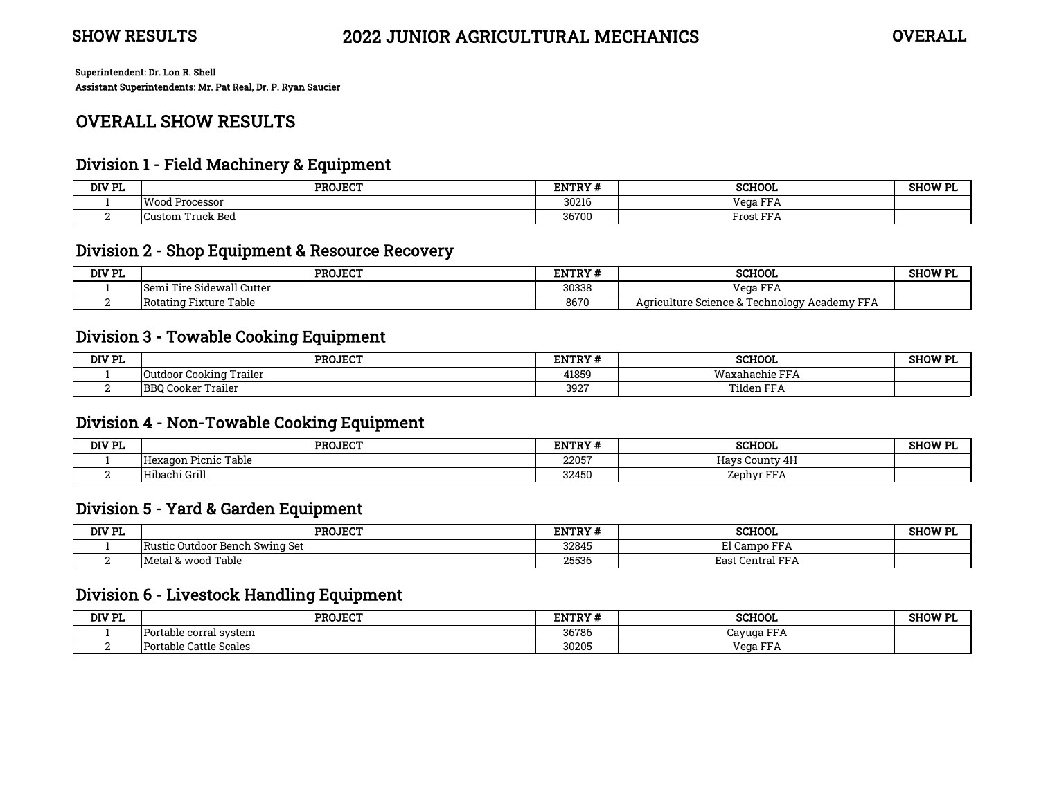# OVERALL SHOW RESULTS

## Division 1 - Field Machinery & Equipment

| DIV PL | <b>PROJECT</b>          | <b>ENTRY#</b> | <b>SCHOOL</b>                        | <b>SHOW PL</b> |
|--------|-------------------------|---------------|--------------------------------------|----------------|
|        | Woo.<br>. Processor     | 30216         | $\mathbf{m}$<br>Vega.                |                |
|        | <b>Custom Truck Bed</b> | 36700         | $F$ rost $F^{\Gamma}$<br>$T_{\rm T}$ |                |

## Division 2 - Shop Equipment & Resource Recovery

| DIV PL | <b>PROJECT</b>               | <b>ENTRY#</b> | <b>SCHOOL</b>                                                  | <b>SHOW PI</b> |
|--------|------------------------------|---------------|----------------------------------------------------------------|----------------|
|        | Tire Sidewall Cutter<br>Semi | 30338         | Vega FFA                                                       |                |
|        | Table<br>TRotating Fixture " | 8670          | <b>PPA</b><br>Agriculture Science & Technology<br>`Academy FFA |                |

## Division 3 - Towable Cooking Equipment

| DIV PL | <b>PROJECT</b>                                      | <b>ENTRY#</b> | <b>SCHOOL</b>          | <b>SHOW PL</b> |
|--------|-----------------------------------------------------|---------------|------------------------|----------------|
|        | Trailer<br>. Cookina '<br>Uutdoo.                   | 41859         | Waxahachie FFA         |                |
|        | $\cdot$<br>Trailer<br>DDC<br>۳۵۲ د<br>Cooker<br>DDU | 3927          | Tilden FF <sub>A</sub> |                |

## Division 4 - Non-Towable Cooking Equipment

| DIV PL | <b>PROJECT</b>             | ENTRY# | <b>SCHOOL</b>                          | SHOW PI |
|--------|----------------------------|--------|----------------------------------------|---------|
|        | Hexagon Picnic Table       | 22057  | $\bullet$<br>Hays<br>County 4H         |         |
|        | Hibachi Grill<br>$- - - -$ | 32450  | $\mathbf{m}$<br>∕enhvr<br><b>TChII</b> |         |

## Division 5 - Yard & Garden Equipment

| DIV PL | <b>PROJECT</b>                      | ENTRY# | <b>SCHOOL</b>                          | <b>CUOM DI</b><br>элч |
|--------|-------------------------------------|--------|----------------------------------------|-----------------------|
|        | : Outdoor Bench Swing Set<br>Rustic | 32845  | El C<br>$\blacksquare$<br>l Campo<br>. |                       |
|        | Table<br>IMetal & wood              | 25536  | <b>DD</b><br>-£ast ⁄<br>` Central FFA  |                       |

## Division 6 - Livestock Handling Equipment

| DIV PL | <b>PROJECT</b>         | ENTRY# | <b>SCHOOL</b>           | <b>SHOW PL</b> |
|--------|------------------------|--------|-------------------------|----------------|
|        | Portable corral svstem | 36786  | <b>DD</b><br>Cavuɑa FFA |                |
|        | Portable Cattle Scales | 30205  | Vega FFA                |                |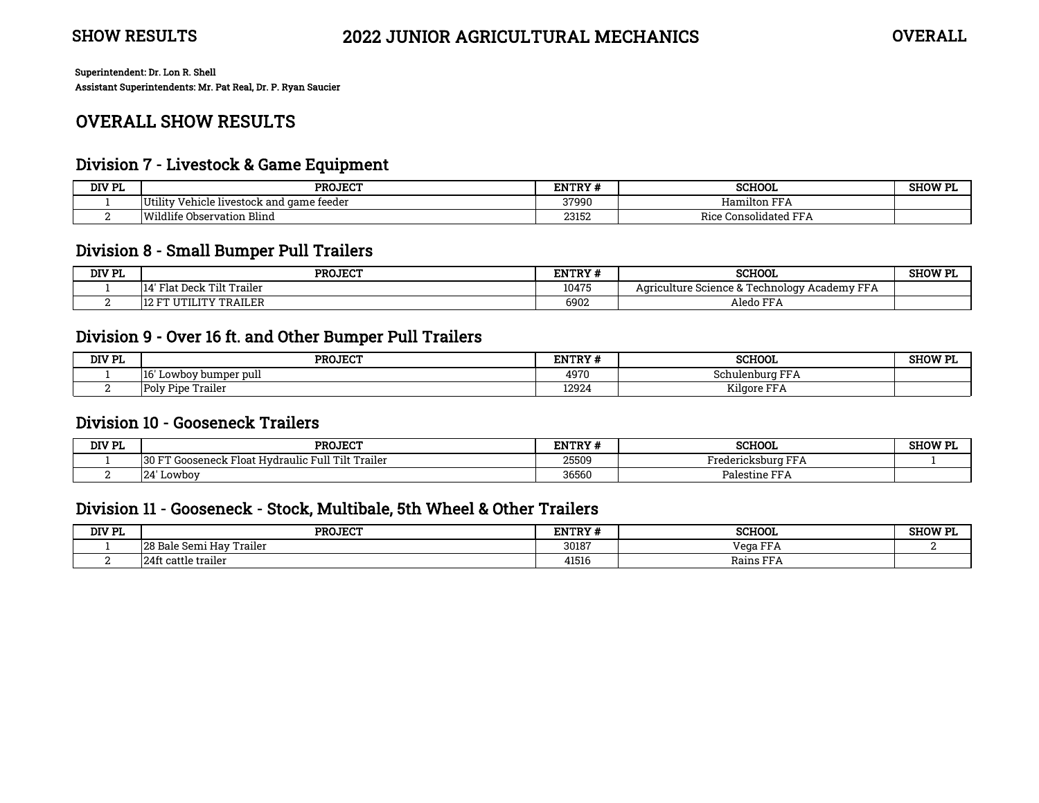# OVERALL SHOW RESULTS

## Division 7 - Livestock & Game Equipment

| DIV PL<br>.cl | <b>PROJECT</b>                                    |       | <b>SCHOOL</b>                                        | <b>SHOW PI</b> |
|---------------|---------------------------------------------------|-------|------------------------------------------------------|----------------|
|               | .<br>Vehicle livestock and game feeder<br>Utility | 37990 | <b>Hamilton FFA</b>                                  |                |
|               | Wildlife 、<br>Observation Blind                   | 23152 | <b>DD</b><br>Consolidated FFA<br><b>DICL</b><br>KICO |                |

## Division 8 - Small Bumper Pull Trailers

| DIV PL | <b>PROJECT</b>                          | ENTRY# | <b>SCHOOL</b>                                                                  | <b>SHOW PL</b> |
|--------|-----------------------------------------|--------|--------------------------------------------------------------------------------|----------------|
|        | t Deck Tilt Trailer<br>$F$ lat L<br>14' | 10475  | m<br><b>DDA</b><br>' Academv .<br>Technology<br>Agriculture Science & T<br>FFA |                |
|        | <b>ITY TRAILER</b><br>12                | 6902   | Aledo F <sup>r</sup><br>FFA                                                    |                |

## Division 9 - Over 16 ft. and Other Bumper Pull Trailers

| DIV PL | <b>PROJECT</b>             | ${\tt ENTRY~}^{\mu}$ | <b>SCHOOL</b>                               | SHOW PI |
|--------|----------------------------|----------------------|---------------------------------------------|---------|
|        | 16<br>' Lowbov bumper pull |                      | $\mathbf{r}$<br>Schulenburg<br>. . <i>.</i> |         |
|        | <b>Poly Pipe Trailer</b>   | 12924                | $- - - -$<br>$- -$<br>Kilgore FFA           |         |

## Division 10 - Gooseneck Trailers

| DIV PL | <b>PROJECT</b>                                                 |       | <b>SCHOOL</b>                         | SHOW PI |
|--------|----------------------------------------------------------------|-------|---------------------------------------|---------|
|        | Tilt Trailer<br>Hvdraulic Full '<br>130 FT<br>roseneck Float H | 25509 | <b>TIME</b><br>Fredericksburg<br>.    |         |
| ∼      | Lowboy<br>,,<br>-44                                            | 36560 | $\blacksquare$<br>Palestine l<br>11 D |         |

## Division 11 - Gooseneck - Stock, Multibale, 5th Wheel & Other Trailers

| DIV PL | <b>PROJECT</b>                            |       | <b>SCHOOL</b>                         | SHOW PI |
|--------|-------------------------------------------|-------|---------------------------------------|---------|
|        | Trailer<br>28 B<br>e Semi Hav ".<br>-Bale | 30187 | $\mathbf{r}$<br>Vega<br>.             |         |
|        | 241<br>t cattle trailer                   | 41516 | $\mathbf{m}$<br>Rains<br>. <i>.</i> . |         |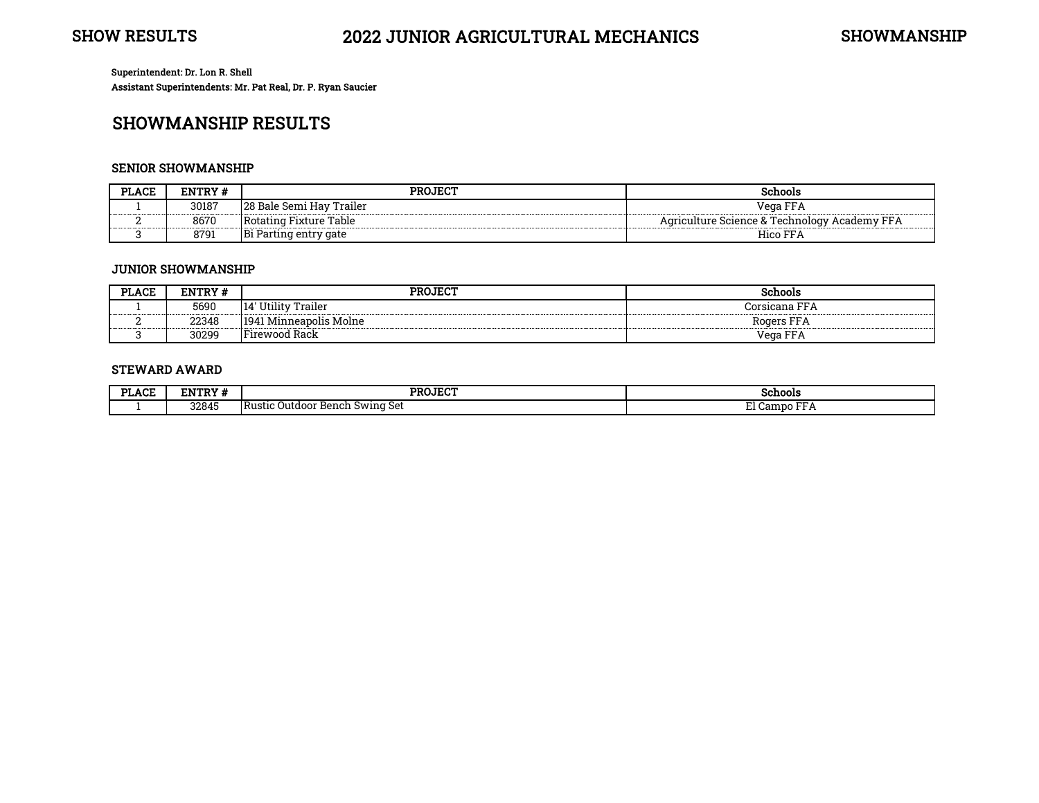# SHOWMANSHIP RESULTS

#### SENIOR SHOWMANSHIP

| LACE<br>זת | ENTRY # | <b>PROJECT</b>                                         | <b>Chools</b>                                                 |
|------------|---------|--------------------------------------------------------|---------------------------------------------------------------|
|            | 30187   | 28 <sub>1</sub><br>ı Hav<br>Frailer<br>`Semi .<br>Bale | Vega FFA                                                      |
|            | 8670    | Table<br>Rotatıng<br>Fixture                           | יים Technology <sup>מ</sup><br>ulture Science.<br>Academy FFA |
|            | 879     | Bi<br><sup>.</sup> gate<br>entr<br>una<br>-ai          | . CC<br>lico                                                  |

#### JUNIOR SHOWMANSHIP

| <b>PLACE</b> | ENTRY # | <b>PROJECT</b>              | <b>Schools</b>                                               |
|--------------|---------|-----------------------------|--------------------------------------------------------------|
|              | 5690    | ' Utility Trailer<br>14'    | Corsicana FFA                                                |
|              | 22348   | 1 Minneapolis Molne<br>1941 | <b>DD</b><br>Rogers FF/<br>-----------------------------<br> |
|              | 30299   | Firewood Rack               | <b>DD</b><br>Vega FFA                                        |

#### STEWARD AWARD

| DT.    | NTDV 4 | <b>PROJECT</b>                                    | Schools                   |
|--------|--------|---------------------------------------------------|---------------------------|
| .⁄LACF | ENTRY  |                                                   |                           |
|        | 32845  | . .<br>: Bench Swing Set<br>: Outdoor<br>I Rustic | $\mathbf{m}$<br>. campo : |